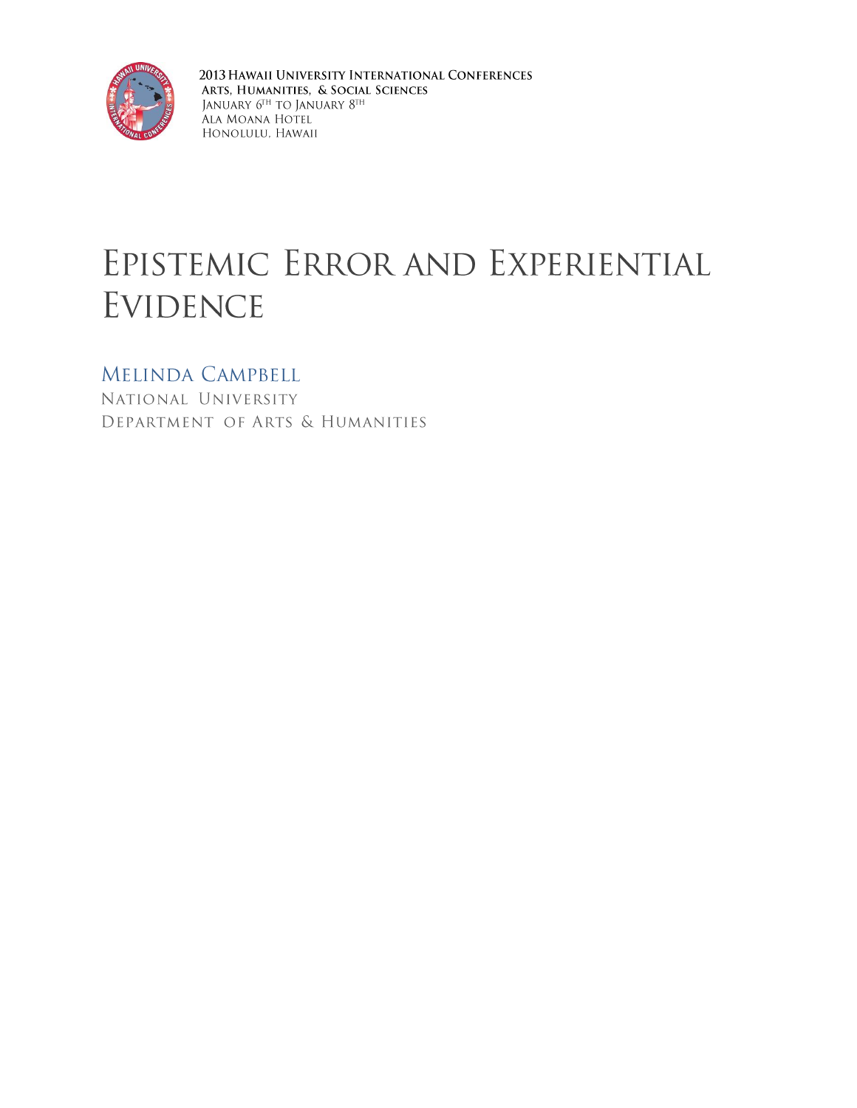

2013 HAWAII UNIVERSITY INTERNATIONAL CONFERENCES ARTS, HUMANITIES, & SOCIAL SCIENCES JANUARY  $6^{\mathrm{TH}}$  TO JANUARY  $8^{\mathrm{TH}}$ Ala Moana Hotel HONOLULU, HAWAII

# EPISTEMIC ERROR AND EXPERIENTIAL **EVIDENCE**

# MELINDA CAMPBELL

NATIONAL UNIVERSITY DEPARTMENT OF ARTS & HUMANITIES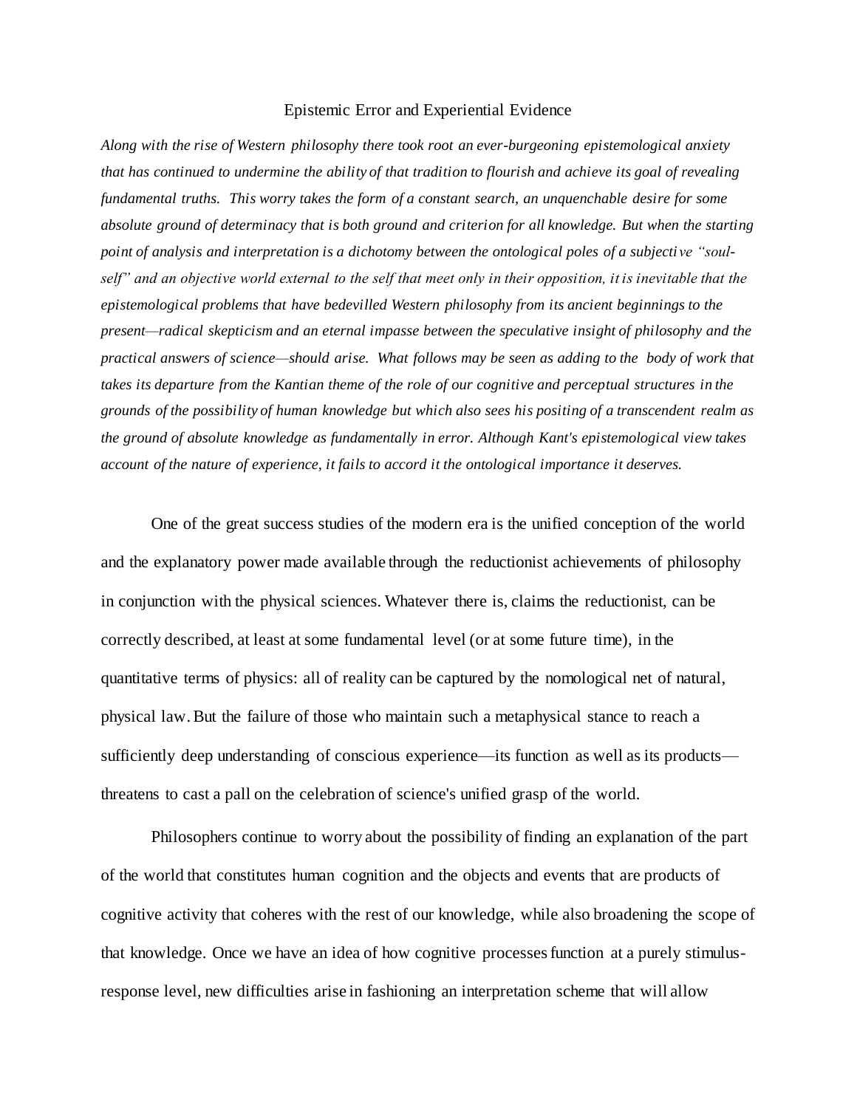#### Epistemic Error and Experiential Evidence

*Along with the rise of Western philosophy there took root an ever-burgeoning epistemological anxiety that has continued to undermine the ability of that tradition to flourish and achieve its goal of revealing fundamental truths. This worry takes the form of a constant search, an unquenchable desire for some absolute ground of determinacy that is both ground and criterion for all knowledge. But when the starting point of analysis and interpretation is a dichotomy between the ontological poles of a subjective "soulself" and an objective world external to the self that meet only in their opposition, it is inevitable that the epistemological problems that have bedevilled Western philosophy from its ancient beginnings to the present—radical skepticism and an eternal impasse between the speculative insight of philosophy and the practical answers of science—should arise. What follows may be seen as adding to the body of work that takes its departure from the Kantian theme of the role of our cognitive and perceptual structures in the grounds of the possibility of human knowledge but which also sees his positing of a transcendent realm as the ground of absolute knowledge as fundamentally in error. Although Kant's epistemological view takes account of the nature of experience, it fails to accord it the ontological importance it deserves.*

One of the great success studies of the modern era is the unified conception of the world and the explanatory power made available through the reductionist achievements of philosophy in conjunction with the physical sciences. Whatever there is, claims the reductionist, can be correctly described, at least at some fundamental level (or at some future time), in the quantitative terms of physics: all of reality can be captured by the nomological net of natural, physical law. But the failure of those who maintain such a metaphysical stance to reach a sufficiently deep understanding of conscious experience—its function as well as its products threatens to cast a pall on the celebration of science's unified grasp of the world.

Philosophers continue to worry about the possibility of finding an explanation of the part of the world that constitutes human cognition and the objects and events that are products of cognitive activity that coheres with the rest of our knowledge, while also broadening the scope of that knowledge. Once we have an idea of how cognitive processes function at a purely stimulusresponse level, new difficulties arise in fashioning an interpretation scheme that will allow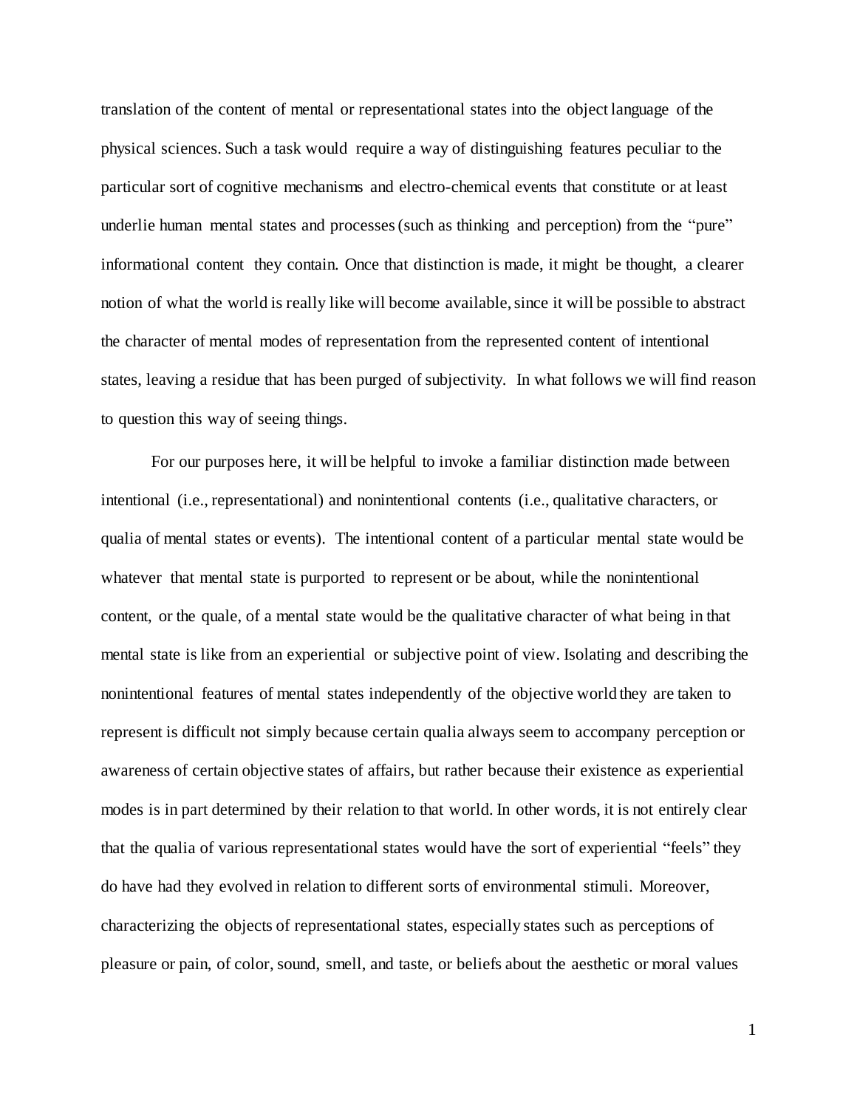translation of the content of mental or representational states into the object language of the physical sciences. Such a task would require a way of distinguishing features peculiar to the particular sort of cognitive mechanisms and electro-chemical events that constitute or at least underlie human mental states and processes (such as thinking and perception) from the "pure" informational content they contain. Once that distinction is made, it might be thought, a clearer notion of what the world is really like will become available, since it will be possible to abstract the character of mental modes of representation from the represented content of intentional states, leaving a residue that has been purged of subjectivity. In what follows we will find reason to question this way of seeing things.

For our purposes here, it will be helpful to invoke a familiar distinction made between intentional (i.e., representational) and nonintentional contents (i.e., qualitative characters, or qualia of mental states or events). The intentional content of a particular mental state would be whatever that mental state is purported to represent or be about, while the nonintentional content, or the quale, of a mental state would be the qualitative character of what being in that mental state is like from an experiential or subjective point of view. Isolating and describing the nonintentional features of mental states independently of the objective world they are taken to represent is difficult not simply because certain qualia always seem to accompany perception or awareness of certain objective states of affairs, but rather because their existence as experiential modes is in part determined by their relation to that world. In other words, it is not entirely clear that the qualia of various representational states would have the sort of experiential "feels" they do have had they evolved in relation to different sorts of environmental stimuli. Moreover, characterizing the objects of representational states, especially states such as perceptions of pleasure or pain, of color, sound, smell, and taste, or beliefs about the aesthetic or moral values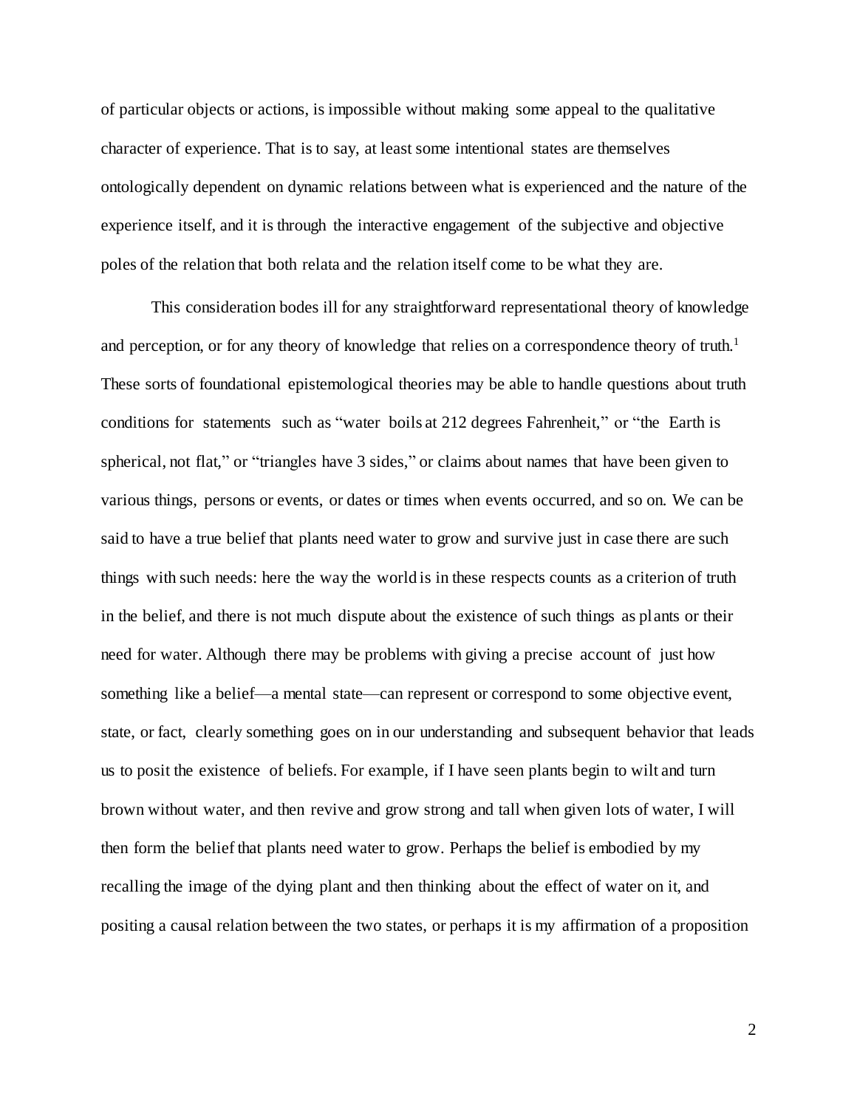of particular objects or actions, is impossible without making some appeal to the qualitative character of experience. That is to say, at least some intentional states are themselves ontologically dependent on dynamic relations between what is experienced and the nature of the experience itself, and it is through the interactive engagement of the subjective and objective poles of the relation that both relata and the relation itself come to be what they are.

This consideration bodes ill for any straightforward representational theory of knowledge and perception, or for any theory of knowledge that relies on a correspondence theory of truth.<sup>1</sup> These sorts of foundational epistemological theories may be able to handle questions about truth conditions for statements such as "water boils at 212 degrees Fahrenheit," or "the Earth is spherical, not flat," or "triangles have 3 sides," or claims about names that have been given to various things, persons or events, or dates or times when events occurred, and so on. We can be said to have a true belief that plants need water to grow and survive just in case there are such things with such needs: here the way the world is in these respects counts as a criterion of truth in the belief, and there is not much dispute about the existence of such things as plants or their need for water. Although there may be problems with giving a precise account of just how something like a belief—a mental state—can represent or correspond to some objective event, state, or fact, clearly something goes on in our understanding and subsequent behavior that leads us to posit the existence of beliefs. For example, if I have seen plants begin to wilt and turn brown without water, and then revive and grow strong and tall when given lots of water, I will then form the belief that plants need water to grow. Perhaps the belief is embodied by my recalling the image of the dying plant and then thinking about the effect of water on it, and positing a causal relation between the two states, or perhaps it is my affirmation of a proposition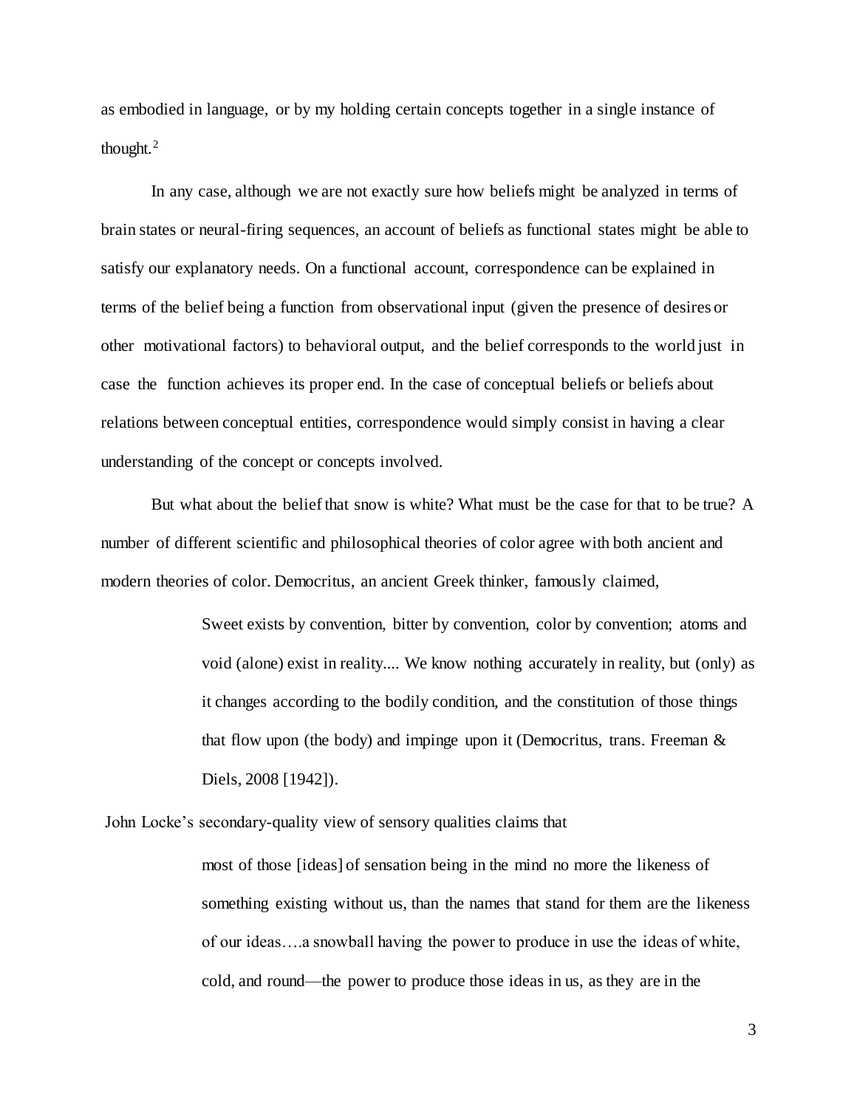as embodied in language, or by my holding certain concepts together in a single instance of thought.<sup>2</sup>

In any case, although we are not exactly sure how beliefs might be analyzed in terms of brain states or neural-firing sequences, an account of beliefs as functional states might be able to satisfy our explanatory needs. On a functional account, correspondence can be explained in terms of the belief being a function from observational input (given the presence of desires or other motivational factors) to behavioral output, and the belief corresponds to the world just in case the function achieves its proper end. In the case of conceptual beliefs or beliefs about relations between conceptual entities, correspondence would simply consist in having a clear understanding of the concept or concepts involved.

But what about the belief that snow is white? What must be the case for that to be true? A number of different scientific and philosophical theories of color agree with both ancient and modern theories of color. Democritus, an ancient Greek thinker, famously claimed,

> Sweet exists by convention, bitter by convention, color by convention; atoms and void (alone) exist in reality.... We know nothing accurately in reality, but (only) as it changes according to the bodily condition, and the constitution of those things that flow upon (the body) and impinge upon it (Democritus, trans. Freeman  $\&$ Diels, 2008 [1942]).

John Locke's secondary-quality view of sensory qualities claims that

most of those [ideas] of sensation being in the mind no more the likeness of something existing without us, than the names that stand for them are the likeness of our ideas….a snowball having the power to produce in use the ideas of white, cold, and round—the power to produce those ideas in us, as they are in the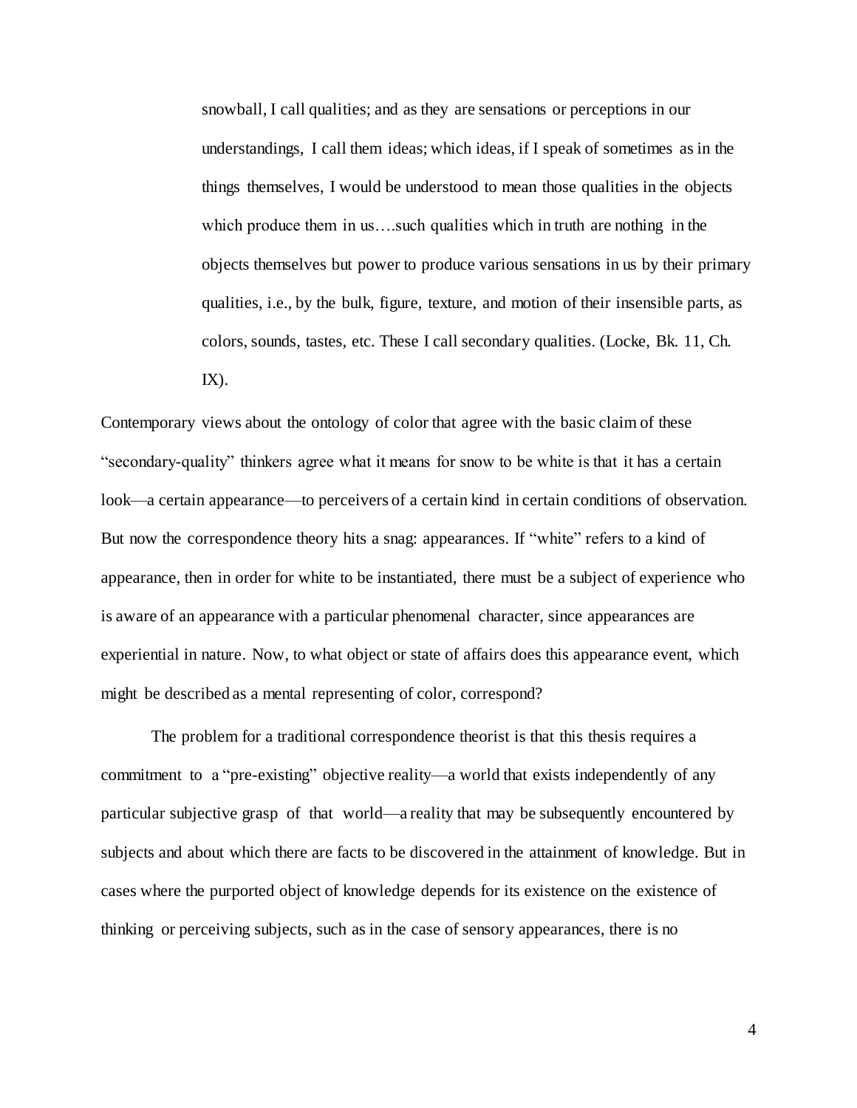snowball, I call qualities; and as they are sensations or perceptions in our understandings, I call them ideas; which ideas, if I speak of sometimes as in the things themselves, I would be understood to mean those qualities in the objects which produce them in us...such qualities which in truth are nothing in the objects themselves but power to produce various sensations in us by their primary qualities, i.e., by the bulk, figure, texture, and motion of their insensible parts, as colors, sounds, tastes, etc. These I call secondary qualities. (Locke, Bk. 11, Ch.  $IX$ ).

Contemporary views about the ontology of color that agree with the basic claim of these "secondary-quality" thinkers agree what it means for snow to be white is that it has a certain look—a certain appearance—to perceivers of a certain kind in certain conditions of observation. But now the correspondence theory hits a snag: appearances. If "white" refers to a kind of appearance, then in order for white to be instantiated, there must be a subject of experience who is aware of an appearance with a particular phenomenal character, since appearances are experiential in nature. Now, to what object or state of affairs does this appearance event, which might be described as a mental representing of color, correspond?

The problem for a traditional correspondence theorist is that this thesis requires a commitment to a "pre-existing" objective reality—a world that exists independently of any particular subjective grasp of that world—a reality that may be subsequently encountered by subjects and about which there are facts to be discovered in the attainment of knowledge. But in cases where the purported object of knowledge depends for its existence on the existence of thinking or perceiving subjects, such as in the case of sensory appearances, there is no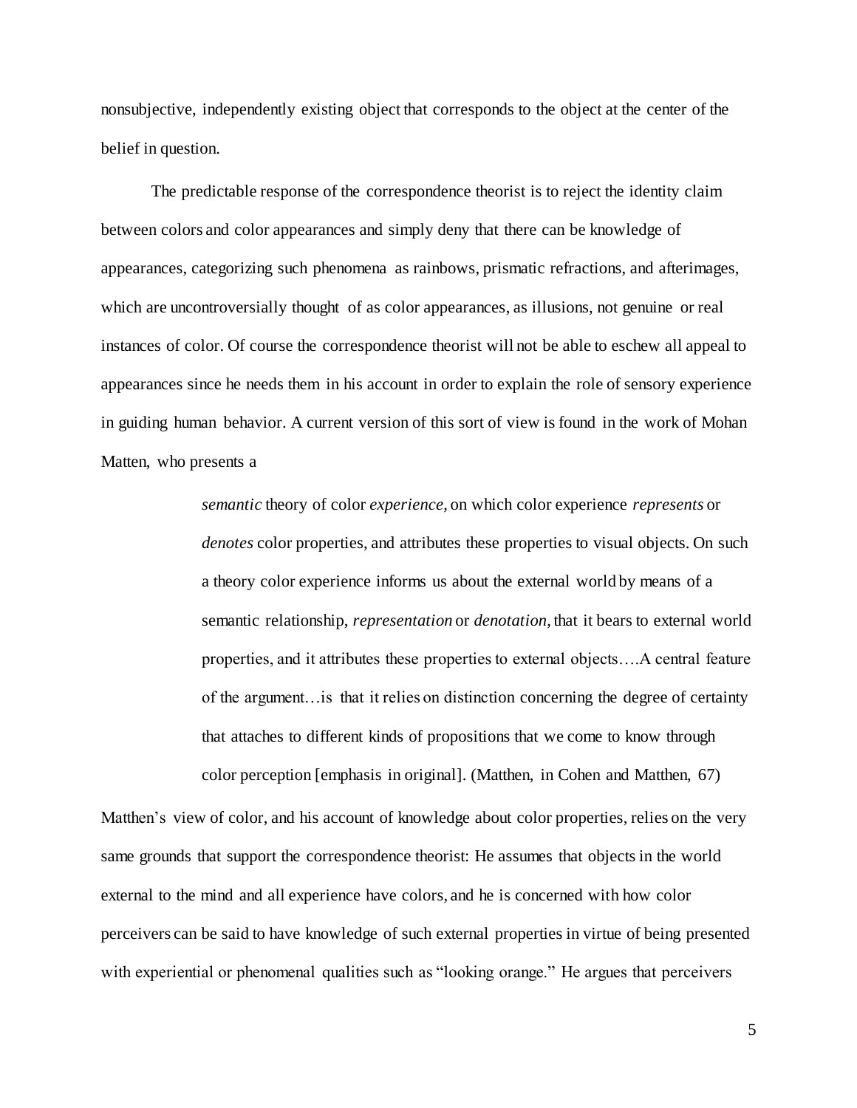nonsubjective, independently existing object that corresponds to the object at the center of the belief in question.

The predictable response of the correspondence theorist is to reject the identity claim between colors and color appearances and simply deny that there can be knowledge of appearances, categorizing such phenomena as rainbows, prismatic refractions, and afterimages, which are uncontroversially thought of as color appearances, as illusions, not genuine or real instances of color. Of course the correspondence theorist will not be able to eschew all appeal to appearances since he needs them in his account in order to explain the role of sensory experience in guiding human behavior. A current version of this sort of view is found in the work of Mohan Matten, who presents a

> *semantic* theory of color *experience,* on which color experience *represents* or *denotes* color properties, and attributes these properties to visual objects. On such a theory color experience informs us about the external world by means of a semantic relationship, *representation* or *denotation*, that it bears to external world properties, and it attributes these properties to external objects….A central feature of the argument…is that it relies on distinction concerning the degree of certainty that attaches to different kinds of propositions that we come to know through color perception [emphasis in original]. (Matthen, in Cohen and Matthen, 67)

Matthen's view of color, and his account of knowledge about color properties, relies on the very same grounds that support the correspondence theorist: He assumes that objects in the world external to the mind and all experience have colors, and he is concerned with how color perceivers can be said to have knowledge of such external properties in virtue of being presented with experiential or phenomenal qualities such as "looking orange." He argues that perceivers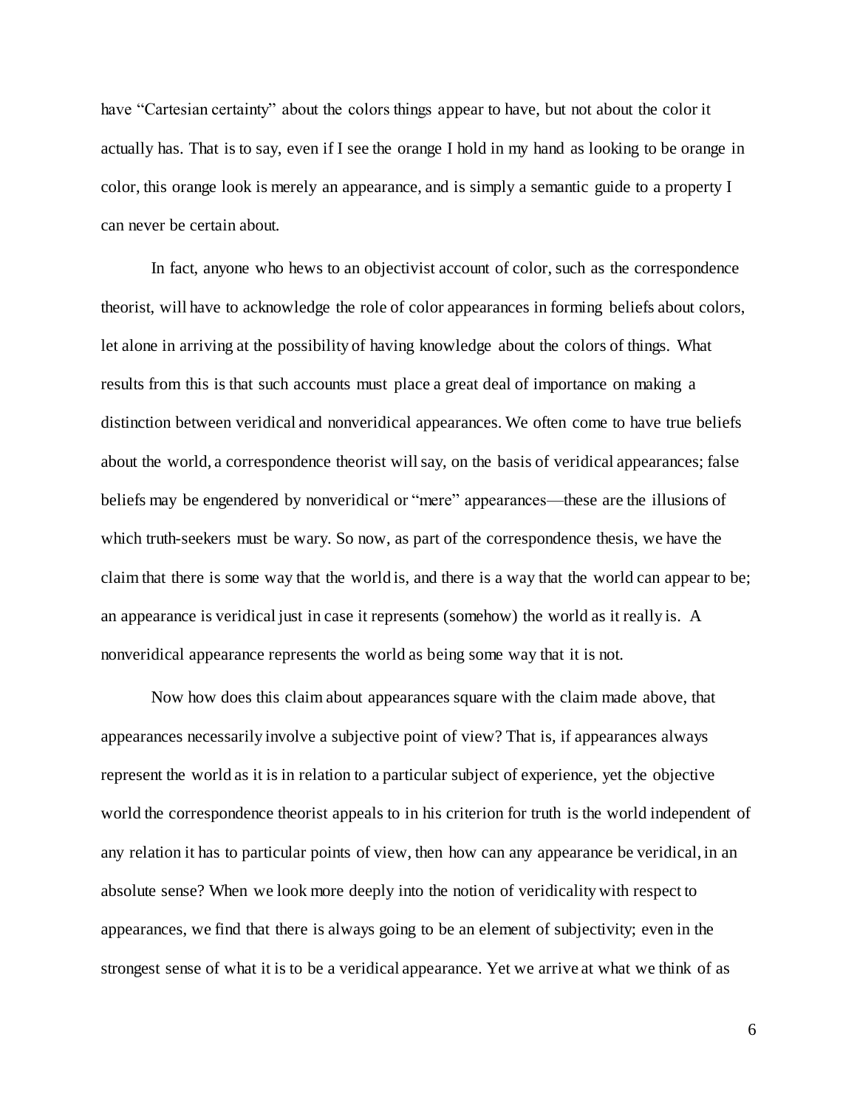have "Cartesian certainty" about the colors things appear to have, but not about the color it actually has. That is to say, even if I see the orange I hold in my hand as looking to be orange in color, this orange look is merely an appearance, and is simply a semantic guide to a property I can never be certain about.

In fact, anyone who hews to an objectivist account of color, such as the correspondence theorist, will have to acknowledge the role of color appearances in forming beliefs about colors, let alone in arriving at the possibility of having knowledge about the colors of things. What results from this is that such accounts must place a great deal of importance on making a distinction between veridical and nonveridical appearances. We often come to have true beliefs about the world, a correspondence theorist will say, on the basis of veridical appearances; false beliefs may be engendered by nonveridical or "mere" appearances—these are the illusions of which truth-seekers must be wary. So now, as part of the correspondence thesis, we have the claim that there is some way that the world is, and there is a way that the world can appear to be; an appearance is veridical just in case it represents (somehow) the world as it really is. A nonveridical appearance represents the world as being some way that it is not.

Now how does this claim about appearances square with the claim made above, that appearances necessarily involve a subjective point of view? That is, if appearances always represent the world as it is in relation to a particular subject of experience, yet the objective world the correspondence theorist appeals to in his criterion for truth is the world independent of any relation it has to particular points of view, then how can any appearance be veridical, in an absolute sense? When we look more deeply into the notion of veridicality with respect to appearances, we find that there is always going to be an element of subjectivity; even in the strongest sense of what it is to be a veridical appearance. Yet we arrive at what we think of as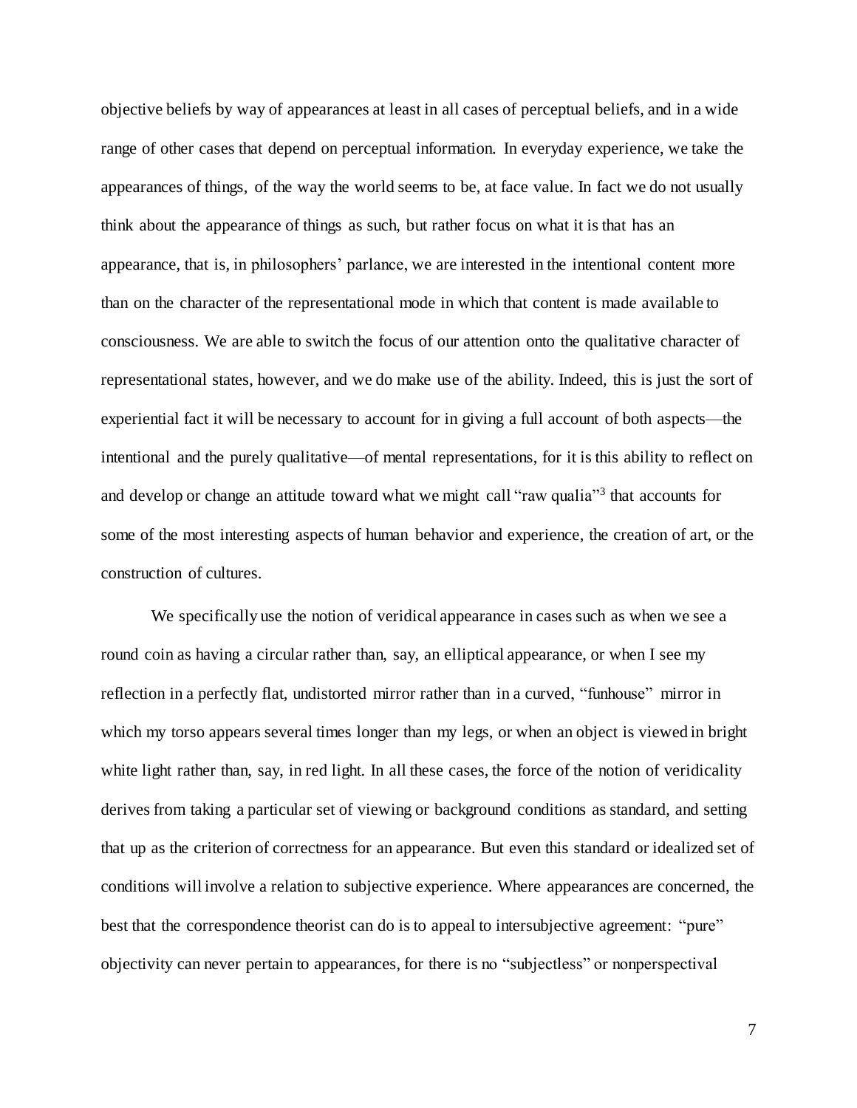objective beliefs by way of appearances at least in all cases of perceptual beliefs, and in a wide range of other cases that depend on perceptual information. In everyday experience, we take the appearances of things, of the way the world seems to be, at face value. In fact we do not usually think about the appearance of things as such, but rather focus on what it is that has an appearance, that is, in philosophers' parlance, we are interested in the intentional content more than on the character of the representational mode in which that content is made available to consciousness. We are able to switch the focus of our attention onto the qualitative character of representational states, however, and we do make use of the ability. Indeed, this is just the sort of experiential fact it will be necessary to account for in giving a full account of both aspects—the intentional and the purely qualitative—of mental representations, for it is this ability to reflect on and develop or change an attitude toward what we might call "raw qualia"<sup>3</sup> that accounts for some of the most interesting aspects of human behavior and experience, the creation of art, or the construction of cultures.

We specifically use the notion of veridical appearance in cases such as when we see a round coin as having a circular rather than, say, an elliptical appearance, or when I see my reflection in a perfectly flat, undistorted mirror rather than in a curved, "funhouse" mirror in which my torso appears several times longer than my legs, or when an object is viewed in bright white light rather than, say, in red light. In all these cases, the force of the notion of veridicality derives from taking a particular set of viewing or background conditions as standard, and setting that up as the criterion of correctness for an appearance. But even this standard or idealized set of conditions will involve a relation to subjective experience. Where appearances are concerned, the best that the correspondence theorist can do is to appeal to intersubjective agreement: "pure" objectivity can never pertain to appearances, for there is no "subjectless" or nonperspectival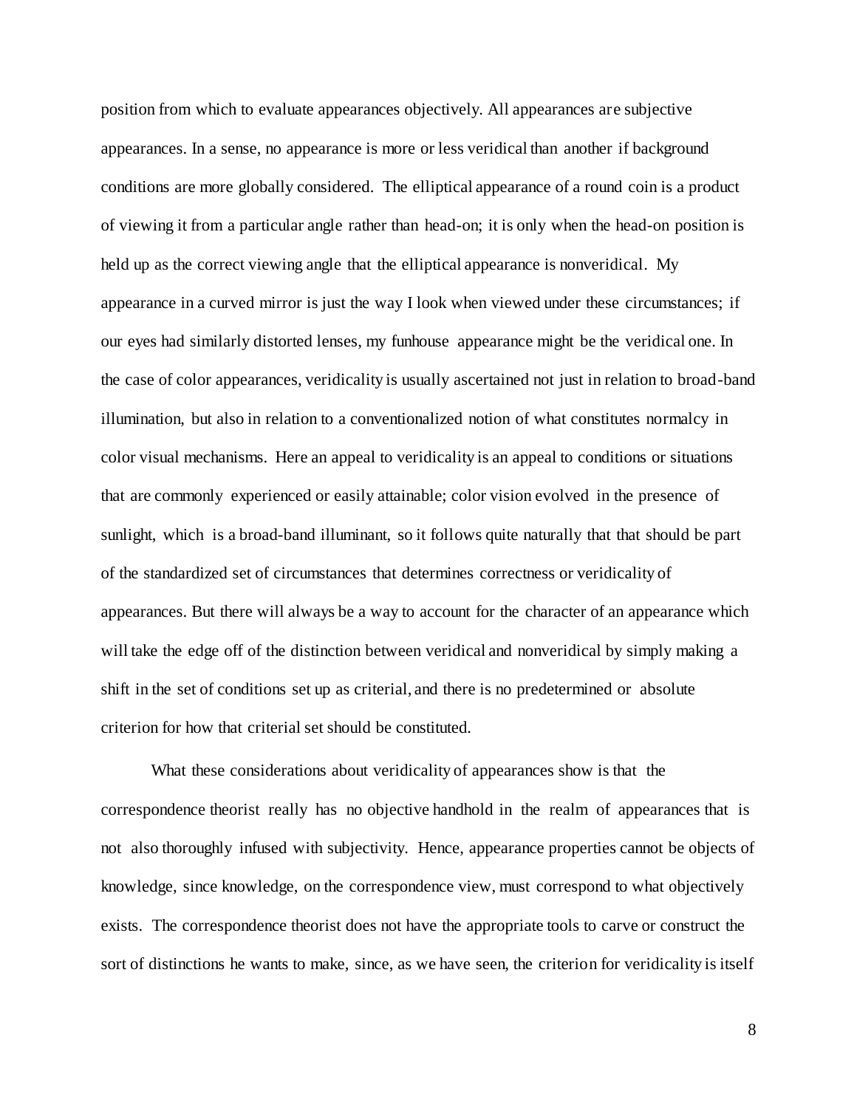position from which to evaluate appearances objectively. All appearances are subjective appearances. In a sense, no appearance is more or less veridical than another if background conditions are more globally considered. The elliptical appearance of a round coin is a product of viewing it from a particular angle rather than head-on; it is only when the head-on position is held up as the correct viewing angle that the elliptical appearance is nonveridical. My appearance in a curved mirror is just the way I look when viewed under these circumstances; if our eyes had similarly distorted lenses, my funhouse appearance might be the veridical one. In the case of color appearances, veridicality is usually ascertained not just in relation to broad-band illumination, but also in relation to a conventionalized notion of what constitutes normalcy in color visual mechanisms. Here an appeal to veridicality is an appeal to conditions or situations that are commonly experienced or easily attainable; color vision evolved in the presence of sunlight, which is a broad-band illuminant, so it follows quite naturally that that should be part of the standardized set of circumstances that determines correctness or veridicality of appearances. But there will always be a way to account for the character of an appearance which will take the edge off of the distinction between veridical and nonveridical by simply making a shift in the set of conditions set up as criterial, and there is no predetermined or absolute criterion for how that criterial set should be constituted.

What these considerations about veridicality of appearances show is that the correspondence theorist really has no objective handhold in the realm of appearances that is not also thoroughly infused with subjectivity. Hence, appearance properties cannot be objects of knowledge, since knowledge, on the correspondence view, must correspond to what objectively exists. The correspondence theorist does not have the appropriate tools to carve or construct the sort of distinctions he wants to make, since, as we have seen, the criterion for veridicality is itself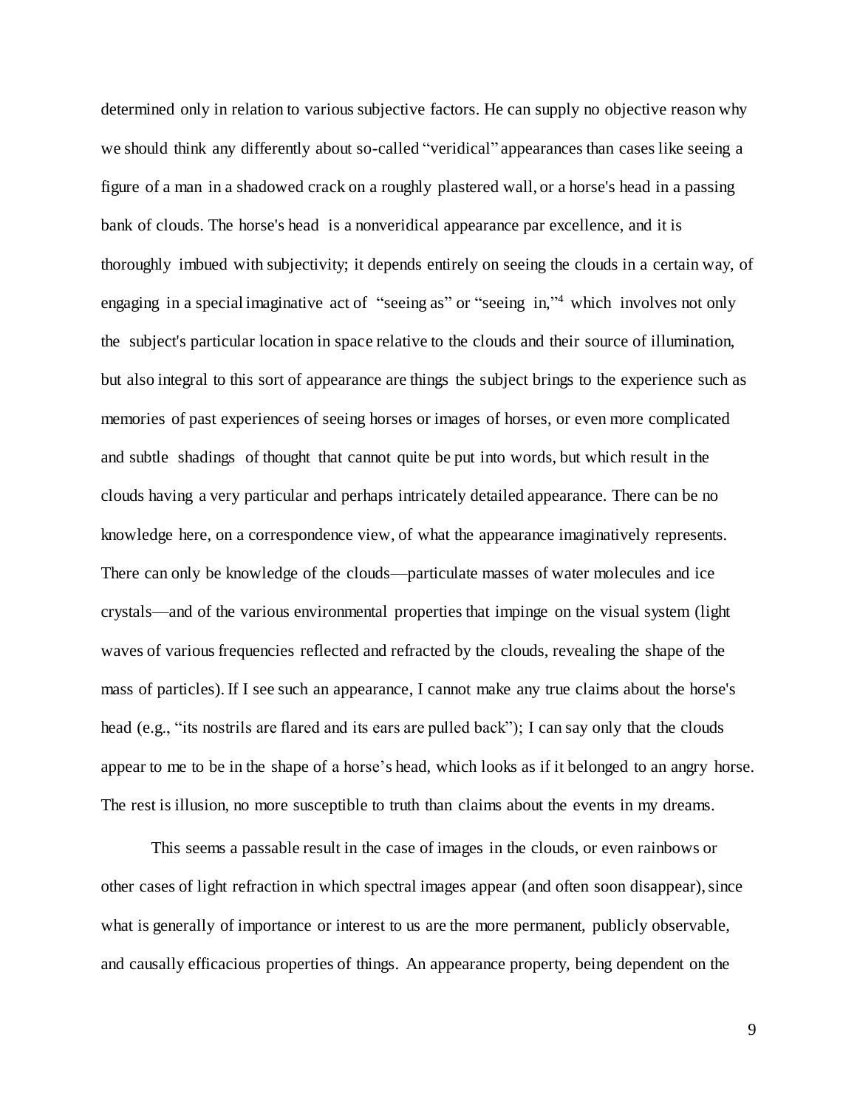determined only in relation to various subjective factors. He can supply no objective reason why we should think any differently about so-called "veridical" appearances than cases like seeing a figure of a man in a shadowed crack on a roughly plastered wall, or a horse's head in a passing bank of clouds. The horse's head is a nonveridical appearance par excellence, and it is thoroughly imbued with subjectivity; it depends entirely on seeing the clouds in a certain way, of engaging in a special imaginative act of "seeing as" or "seeing in,"<sup>4</sup> which involves not only the subject's particular location in space relative to the clouds and their source of illumination, but also integral to this sort of appearance are things the subject brings to the experience such as memories of past experiences of seeing horses or images of horses, or even more complicated and subtle shadings of thought that cannot quite be put into words, but which result in the clouds having a very particular and perhaps intricately detailed appearance. There can be no knowledge here, on a correspondence view, of what the appearance imaginatively represents. There can only be knowledge of the clouds—particulate masses of water molecules and ice crystals—and of the various environmental properties that impinge on the visual system (light waves of various frequencies reflected and refracted by the clouds, revealing the shape of the mass of particles). If I see such an appearance, I cannot make any true claims about the horse's head (e.g., "its nostrils are flared and its ears are pulled back"); I can say only that the clouds appear to me to be in the shape of a horse's head, which looks as if it belonged to an angry horse. The rest is illusion, no more susceptible to truth than claims about the events in my dreams.

This seems a passable result in the case of images in the clouds, or even rainbows or other cases of light refraction in which spectral images appear (and often soon disappear), since what is generally of importance or interest to us are the more permanent, publicly observable, and causally efficacious properties of things. An appearance property, being dependent on the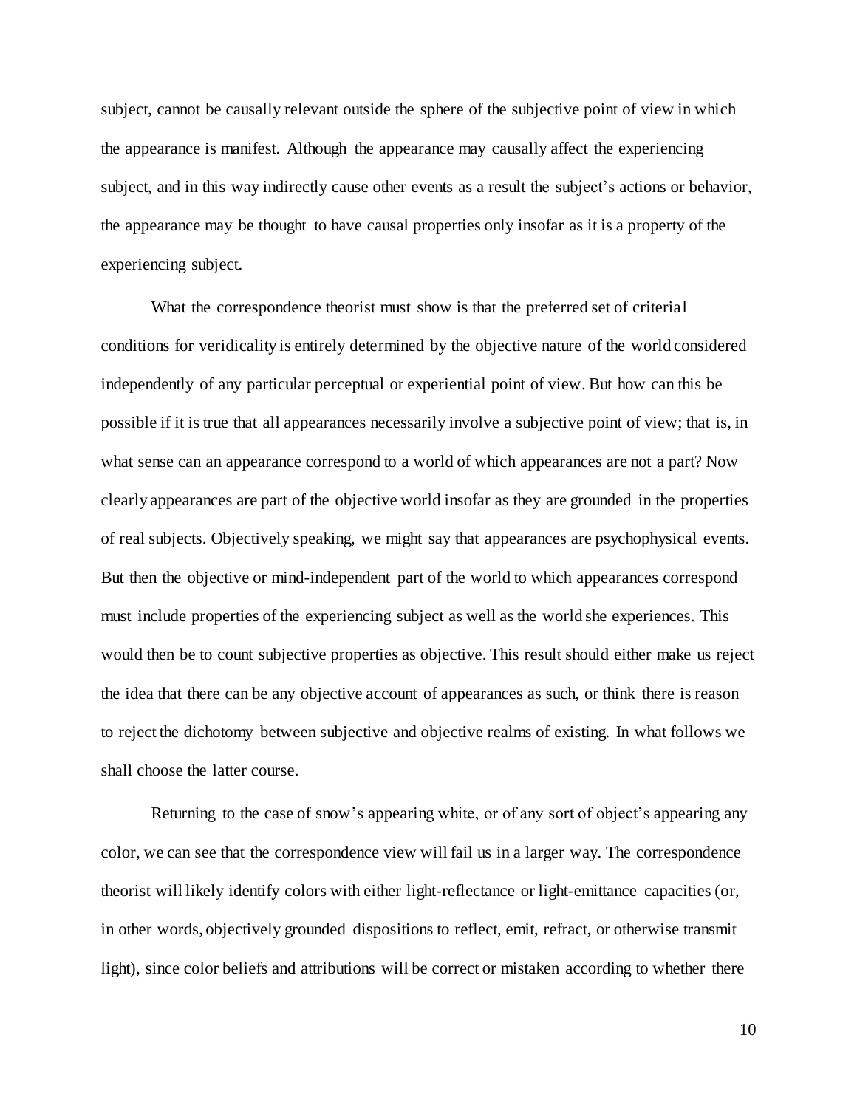subject, cannot be causally relevant outside the sphere of the subjective point of view in which the appearance is manifest. Although the appearance may causally affect the experiencing subject, and in this way indirectly cause other events as a result the subject's actions or behavior, the appearance may be thought to have causal properties only insofar as it is a property of the experiencing subject.

What the correspondence theorist must show is that the preferred set of criterial conditions for veridicality is entirely determined by the objective nature of the world considered independently of any particular perceptual or experiential point of view. But how can this be possible if it is true that all appearances necessarily involve a subjective point of view; that is, in what sense can an appearance correspond to a world of which appearances are not a part? Now clearly appearances are part of the objective world insofar as they are grounded in the properties of real subjects. Objectively speaking, we might say that appearances are psychophysical events. But then the objective or mind-independent part of the world to which appearances correspond must include properties of the experiencing subject as well as the world she experiences. This would then be to count subjective properties as objective. This result should either make us reject the idea that there can be any objective account of appearances as such, or think there is reason to reject the dichotomy between subjective and objective realms of existing. In what follows we shall choose the latter course.

Returning to the case of snow's appearing white, or of any sort of object's appearing any color, we can see that the correspondence view will fail us in a larger way. The correspondence theorist will likely identify colors with either light-reflectance or light-emittance capacities (or, in other words, objectively grounded dispositions to reflect, emit, refract, or otherwise transmit light), since color beliefs and attributions will be correct or mistaken according to whether there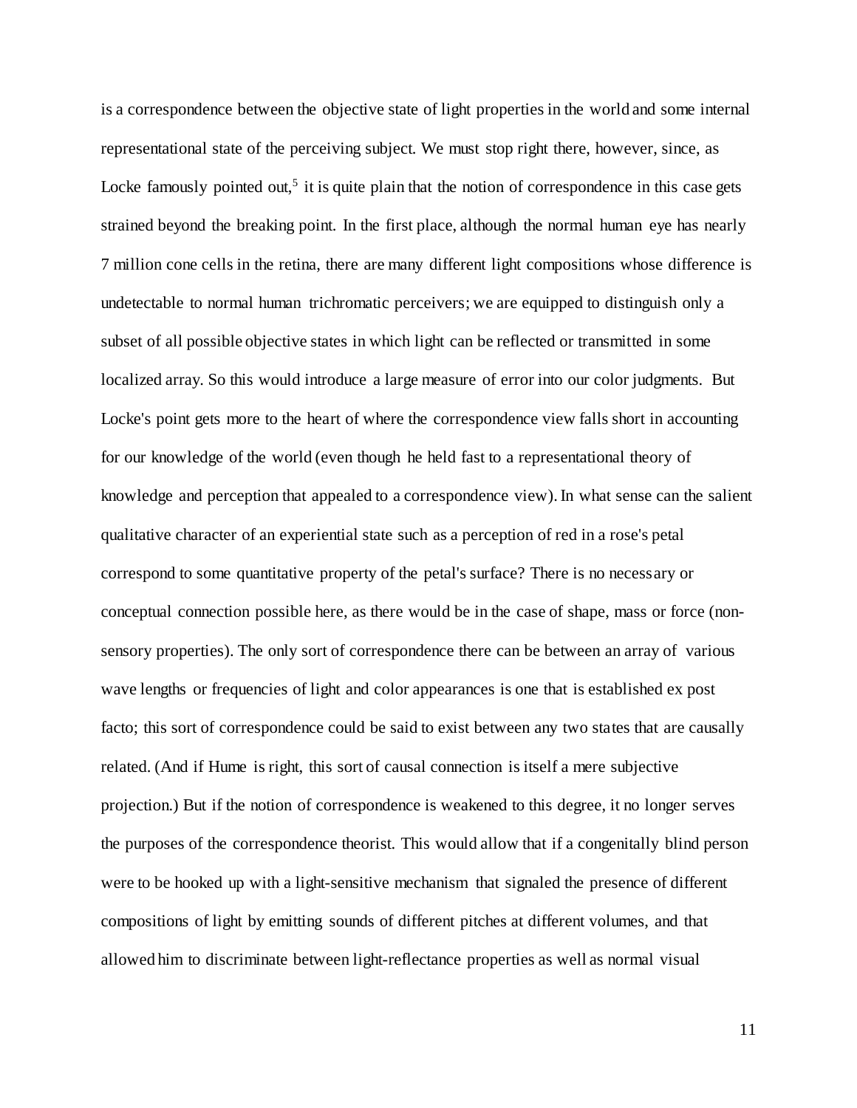is a correspondence between the objective state of light properties in the world and some internal representational state of the perceiving subject. We must stop right there, however, since, as Locke famously pointed out,<sup>5</sup> it is quite plain that the notion of correspondence in this case gets strained beyond the breaking point. In the first place, although the normal human eye has nearly 7 million cone cells in the retina, there are many different light compositions whose difference is undetectable to normal human trichromatic perceivers; we are equipped to distinguish only a subset of all possible objective states in which light can be reflected or transmitted in some localized array. So this would introduce a large measure of error into our color judgments. But Locke's point gets more to the heart of where the correspondence view falls short in accounting for our knowledge of the world (even though he held fast to a representational theory of knowledge and perception that appealed to a correspondence view). In what sense can the salient qualitative character of an experiential state such as a perception of red in a rose's petal correspond to some quantitative property of the petal's surface? There is no necessary or conceptual connection possible here, as there would be in the case of shape, mass or force (nonsensory properties). The only sort of correspondence there can be between an array of various wave lengths or frequencies of light and color appearances is one that is established ex post facto; this sort of correspondence could be said to exist between any two states that are causally related. (And if Hume is right, this sort of causal connection is itself a mere subjective projection.) But if the notion of correspondence is weakened to this degree, it no longer serves the purposes of the correspondence theorist. This would allow that if a congenitally blind person were to be hooked up with a light-sensitive mechanism that signaled the presence of different compositions of light by emitting sounds of different pitches at different volumes, and that allowed him to discriminate between light-reflectance properties as well as normal visual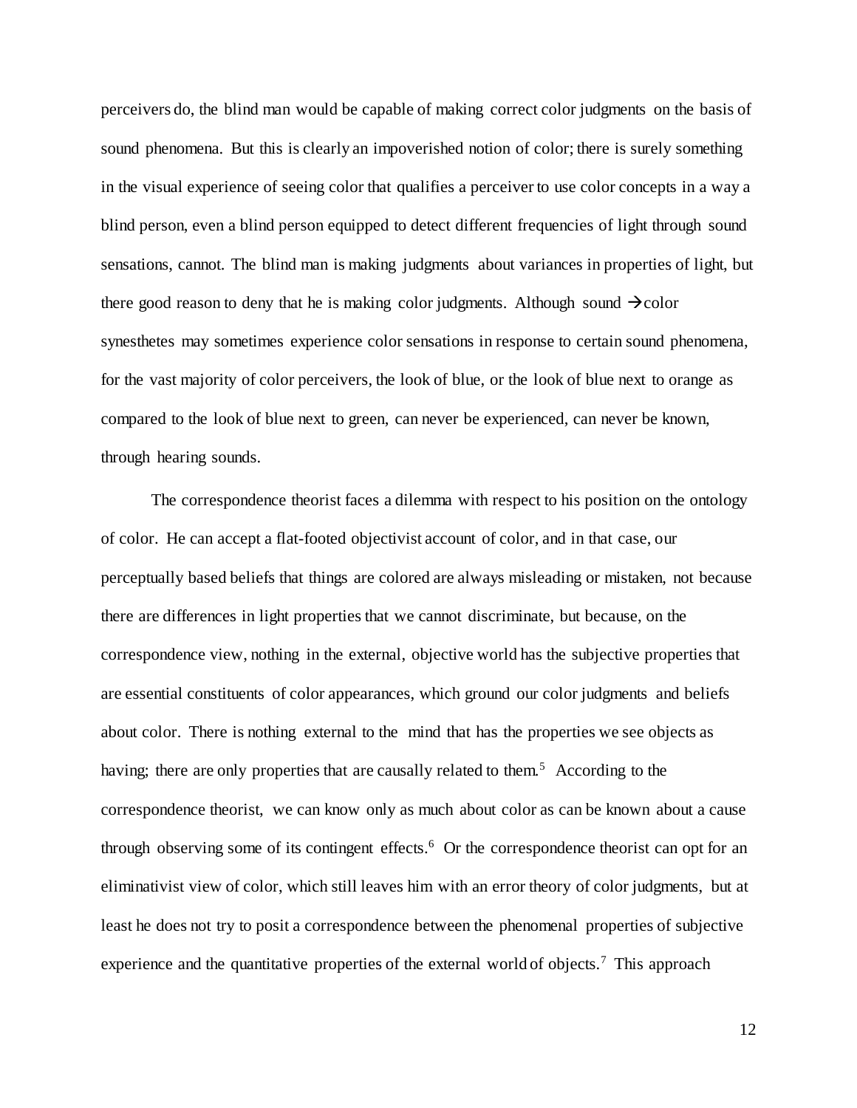perceivers do, the blind man would be capable of making correct color judgments on the basis of sound phenomena. But this is clearly an impoverished notion of color; there is surely something in the visual experience of seeing color that qualifies a perceiver to use color concepts in a way a blind person, even a blind person equipped to detect different frequencies of light through sound sensations, cannot. The blind man is making judgments about variances in properties of light, but there good reason to deny that he is making color judgments. Although sound  $\rightarrow$  color synesthetes may sometimes experience color sensations in response to certain sound phenomena, for the vast majority of color perceivers, the look of blue, or the look of blue next to orange as compared to the look of blue next to green, can never be experienced, can never be known, through hearing sounds.

The correspondence theorist faces a dilemma with respect to his position on the ontology of color. He can accept a flat-footed objectivist account of color, and in that case, our perceptually based beliefs that things are colored are always misleading or mistaken, not because there are differences in light properties that we cannot discriminate, but because, on the correspondence view, nothing in the external, objective world has the subjective properties that are essential constituents of color appearances, which ground our color judgments and beliefs about color. There is nothing external to the mind that has the properties we see objects as having; there are only properties that are causally related to them.<sup>5</sup> According to the correspondence theorist, we can know only as much about color as can be known about a cause through observing some of its contingent effects.<sup>6</sup> Or the correspondence theorist can opt for an eliminativist view of color, which still leaves him with an error theory of color judgments, but at least he does not try to posit a correspondence between the phenomenal properties of subjective experience and the quantitative properties of the external world of objects.<sup>7</sup> This approach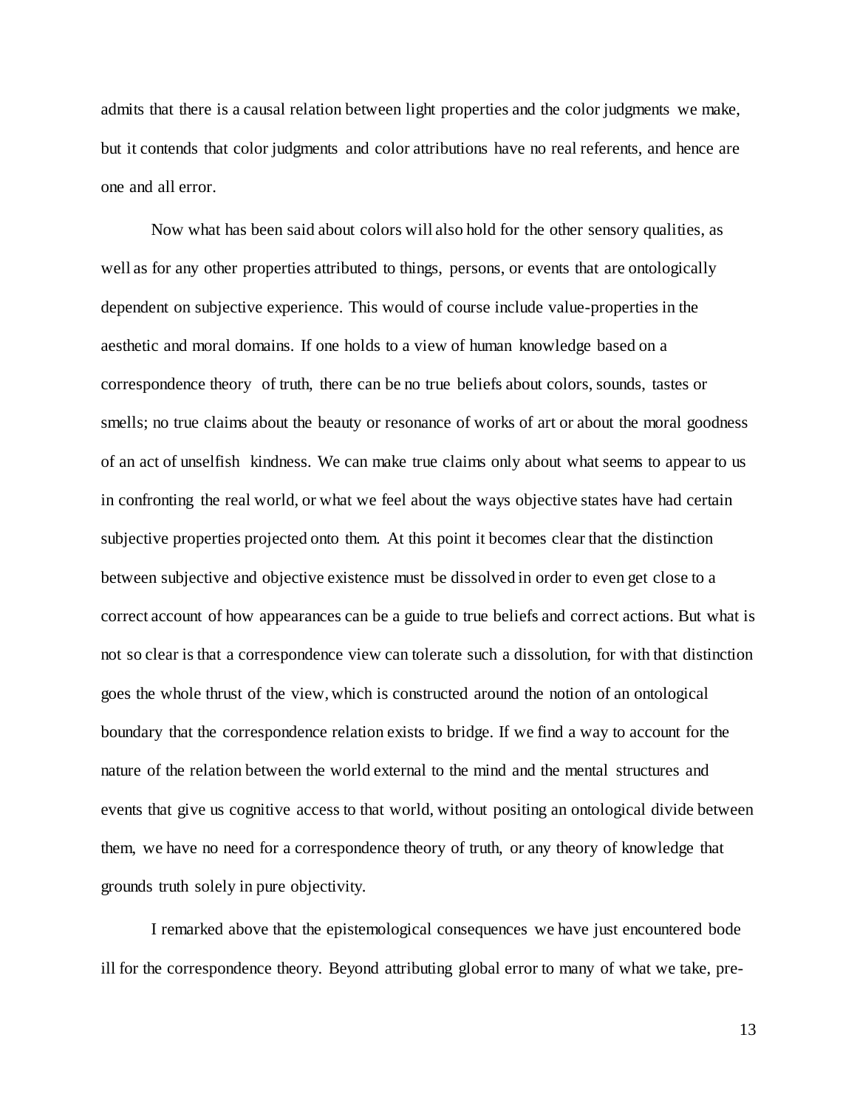admits that there is a causal relation between light properties and the color judgments we make, but it contends that color judgments and color attributions have no real referents, and hence are one and all error.

Now what has been said about colors will also hold for the other sensory qualities, as well as for any other properties attributed to things, persons, or events that are ontologically dependent on subjective experience. This would of course include value-properties in the aesthetic and moral domains. If one holds to a view of human knowledge based on a correspondence theory of truth, there can be no true beliefs about colors, sounds, tastes or smells; no true claims about the beauty or resonance of works of art or about the moral goodness of an act of unselfish kindness. We can make true claims only about what seems to appear to us in confronting the real world, or what we feel about the ways objective states have had certain subjective properties projected onto them. At this point it becomes clear that the distinction between subjective and objective existence must be dissolved in order to even get close to a correct account of how appearances can be a guide to true beliefs and correct actions. But what is not so clear is that a correspondence view can tolerate such a dissolution, for with that distinction goes the whole thrust of the view, which is constructed around the notion of an ontological boundary that the correspondence relation exists to bridge. If we find a way to account for the nature of the relation between the world external to the mind and the mental structures and events that give us cognitive access to that world, without positing an ontological divide between them, we have no need for a correspondence theory of truth, or any theory of knowledge that grounds truth solely in pure objectivity.

I remarked above that the epistemological consequences we have just encountered bode ill for the correspondence theory. Beyond attributing global error to many of what we take, pre-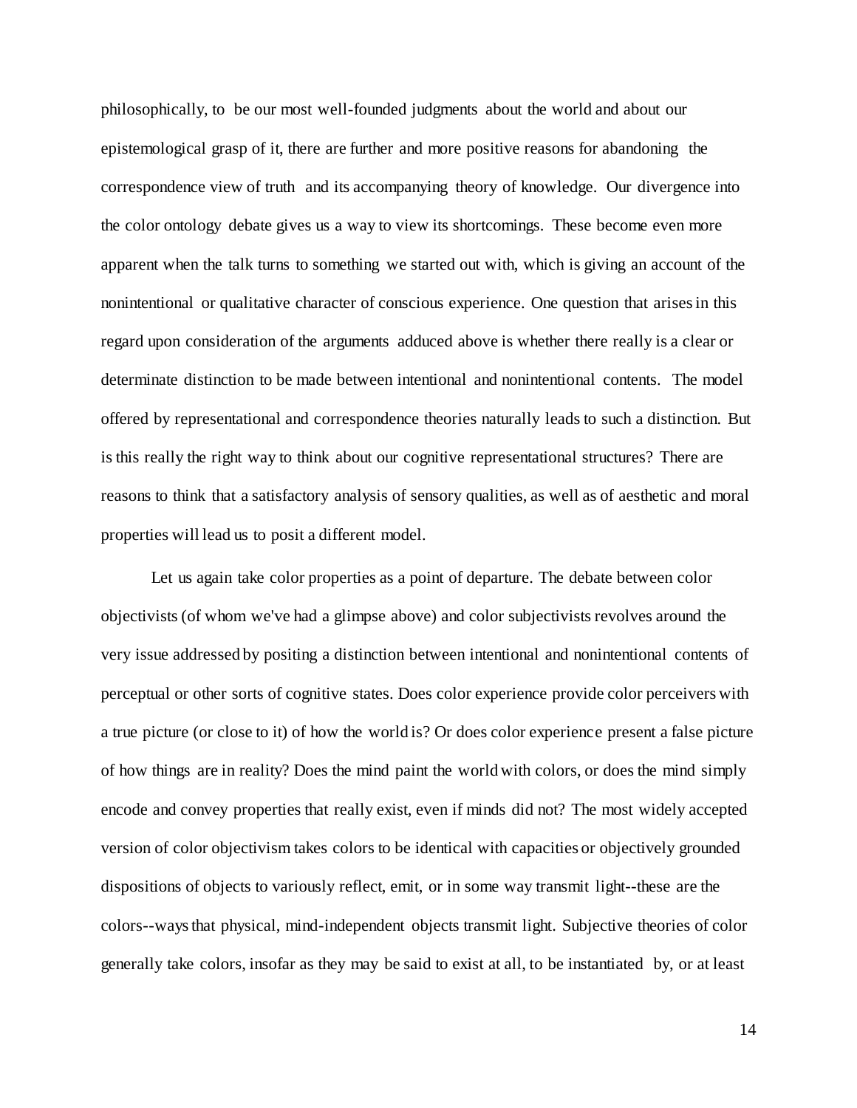philosophically, to be our most well-founded judgments about the world and about our epistemological grasp of it, there are further and more positive reasons for abandoning the correspondence view of truth and its accompanying theory of knowledge. Our divergence into the color ontology debate gives us a way to view its shortcomings. These become even more apparent when the talk turns to something we started out with, which is giving an account of the nonintentional or qualitative character of conscious experience. One question that arises in this regard upon consideration of the arguments adduced above is whether there really is a clear or determinate distinction to be made between intentional and nonintentional contents. The model offered by representational and correspondence theories naturally leads to such a distinction. But is this really the right way to think about our cognitive representational structures? There are reasons to think that a satisfactory analysis of sensory qualities, as well as of aesthetic and moral properties will lead us to posit a different model.

Let us again take color properties as a point of departure. The debate between color objectivists (of whom we've had a glimpse above) and color subjectivists revolves around the very issue addressed by positing a distinction between intentional and nonintentional contents of perceptual or other sorts of cognitive states. Does color experience provide color perceivers with a true picture (or close to it) of how the world is? Or does color experience present a false picture of how things are in reality? Does the mind paint the world with colors, or does the mind simply encode and convey properties that really exist, even if minds did not? The most widely accepted version of color objectivism takes colors to be identical with capacities or objectively grounded dispositions of objects to variously reflect, emit, or in some way transmit light--these are the colors--ways that physical, mind-independent objects transmit light. Subjective theories of color generally take colors, insofar as they may be said to exist at all, to be instantiated by, or at least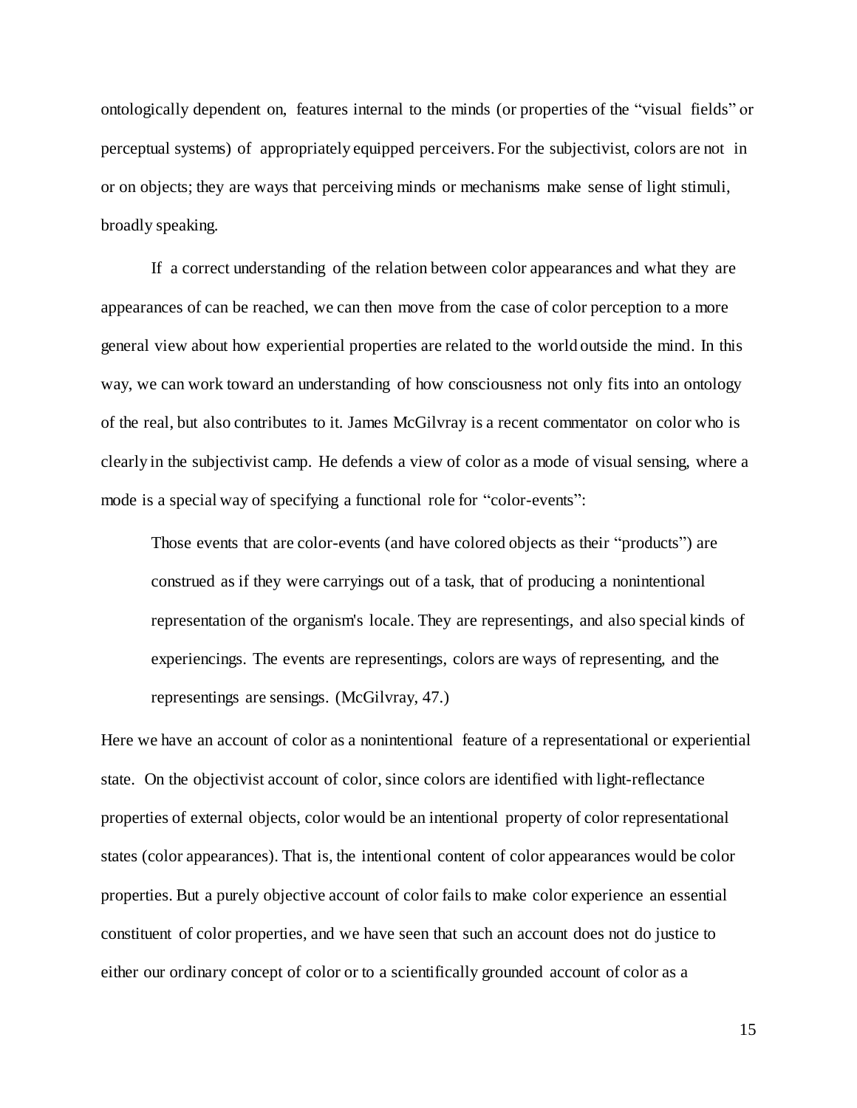ontologically dependent on, features internal to the minds (or properties of the "visual fields" or perceptual systems) of appropriately equipped perceivers. For the subjectivist, colors are not in or on objects; they are ways that perceiving minds or mechanisms make sense of light stimuli, broadly speaking.

If a correct understanding of the relation between color appearances and what they are appearances of can be reached, we can then move from the case of color perception to a more general view about how experiential properties are related to the world outside the mind. In this way, we can work toward an understanding of how consciousness not only fits into an ontology of the real, but also contributes to it. James McGilvray is a recent commentator on color who is clearly in the subjectivist camp. He defends a view of color as a mode of visual sensing, where a mode is a special way of specifying a functional role for "color-events":

Those events that are color-events (and have colored objects as their "products") are construed as if they were carryings out of a task, that of producing a nonintentional representation of the organism's locale. They are representings, and also special kinds of experiencings. The events are representings, colors are ways of representing, and the representings are sensings. (McGilvray, 47.)

Here we have an account of color as a nonintentional feature of a representational or experiential state. On the objectivist account of color, since colors are identified with light-reflectance properties of external objects, color would be an intentional property of color representational states (color appearances). That is, the intentional content of color appearances would be color properties. But a purely objective account of color fails to make color experience an essential constituent of color properties, and we have seen that such an account does not do justice to either our ordinary concept of color or to a scientifically grounded account of color as a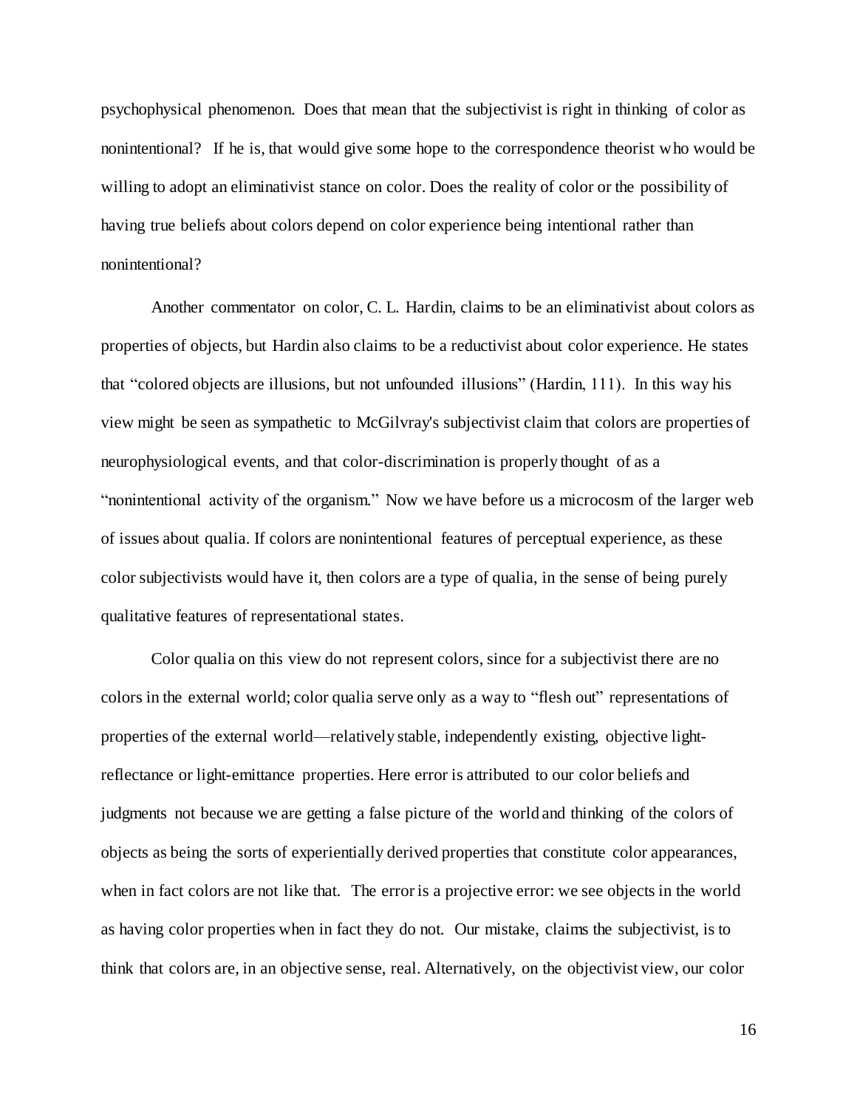psychophysical phenomenon. Does that mean that the subjectivist is right in thinking of color as nonintentional? If he is, that would give some hope to the correspondence theorist who would be willing to adopt an eliminativist stance on color. Does the reality of color or the possibility of having true beliefs about colors depend on color experience being intentional rather than nonintentional?

Another commentator on color, C. L. Hardin, claims to be an eliminativist about colors as properties of objects, but Hardin also claims to be a reductivist about color experience. He states that "colored objects are illusions, but not unfounded illusions" (Hardin, 111). In this way his view might be seen as sympathetic to McGilvray's subjectivist claim that colors are properties of neurophysiological events, and that color-discrimination is properly thought of as a "nonintentional activity of the organism." Now we have before us a microcosm of the larger web of issues about qualia. If colors are nonintentional features of perceptual experience, as these color subjectivists would have it, then colors are a type of qualia, in the sense of being purely qualitative features of representational states.

Color qualia on this view do not represent colors, since for a subjectivist there are no colors in the external world; color qualia serve only as a way to "flesh out" representations of properties of the external world—relatively stable, independently existing, objective lightreflectance or light-emittance properties. Here error is attributed to our color beliefs and judgments not because we are getting a false picture of the world and thinking of the colors of objects as being the sorts of experientially derived properties that constitute color appearances, when in fact colors are not like that. The error is a projective error: we see objects in the world as having color properties when in fact they do not. Our mistake, claims the subjectivist, is to think that colors are, in an objective sense, real. Alternatively, on the objectivist view, our color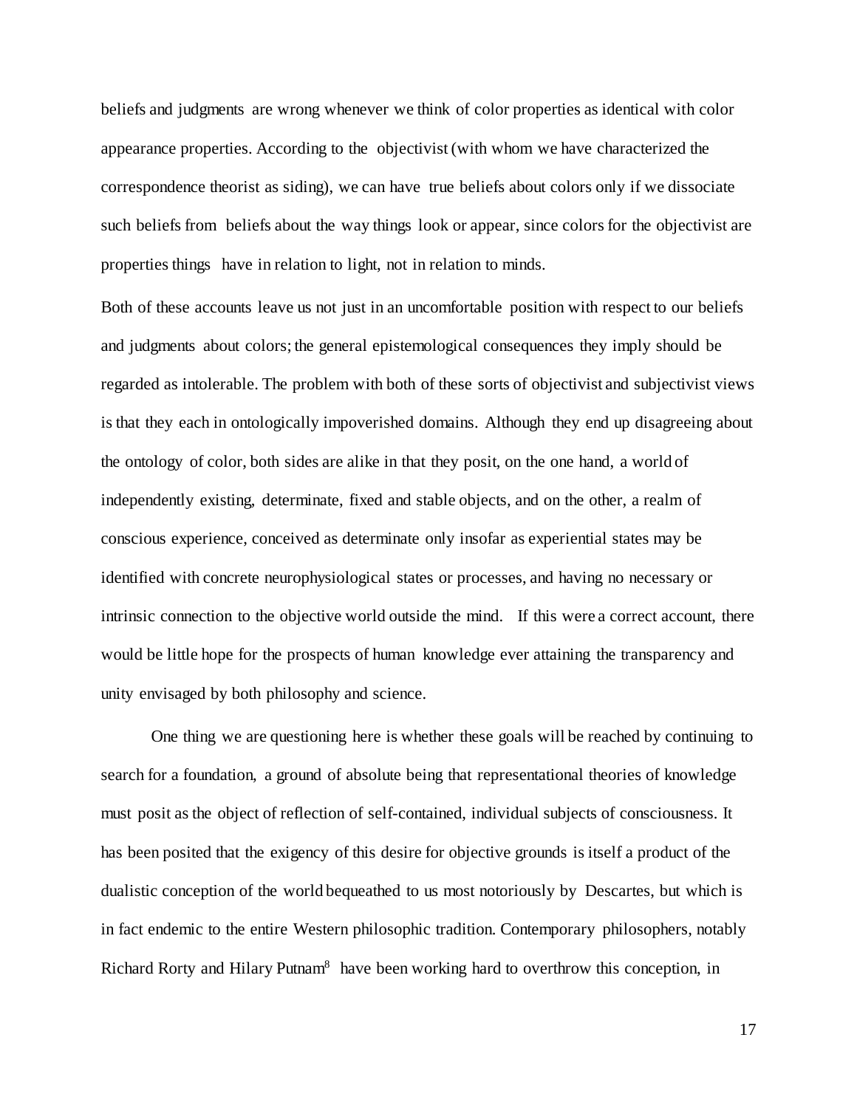beliefs and judgments are wrong whenever we think of color properties as identical with color appearance properties. According to the objectivist (with whom we have characterized the correspondence theorist as siding), we can have true beliefs about colors only if we dissociate such beliefs from beliefs about the way things look or appear, since colors for the objectivist are properties things have in relation to light, not in relation to minds.

Both of these accounts leave us not just in an uncomfortable position with respect to our beliefs and judgments about colors; the general epistemological consequences they imply should be regarded as intolerable. The problem with both of these sorts of objectivist and subjectivist views is that they each in ontologically impoverished domains. Although they end up disagreeing about the ontology of color, both sides are alike in that they posit, on the one hand, a world of independently existing, determinate, fixed and stable objects, and on the other, a realm of conscious experience, conceived as determinate only insofar as experiential states may be identified with concrete neurophysiological states or processes, and having no necessary or intrinsic connection to the objective world outside the mind. If this were a correct account, there would be little hope for the prospects of human knowledge ever attaining the transparency and unity envisaged by both philosophy and science.

One thing we are questioning here is whether these goals will be reached by continuing to search for a foundation, a ground of absolute being that representational theories of knowledge must posit as the object of reflection of self-contained, individual subjects of consciousness. It has been posited that the exigency of this desire for objective grounds is itself a product of the dualistic conception of the world bequeathed to us most notoriously by Descartes, but which is in fact endemic to the entire Western philosophic tradition. Contemporary philosophers, notably Richard Rorty and Hilary Putnam<sup>8</sup> have been working hard to overthrow this conception, in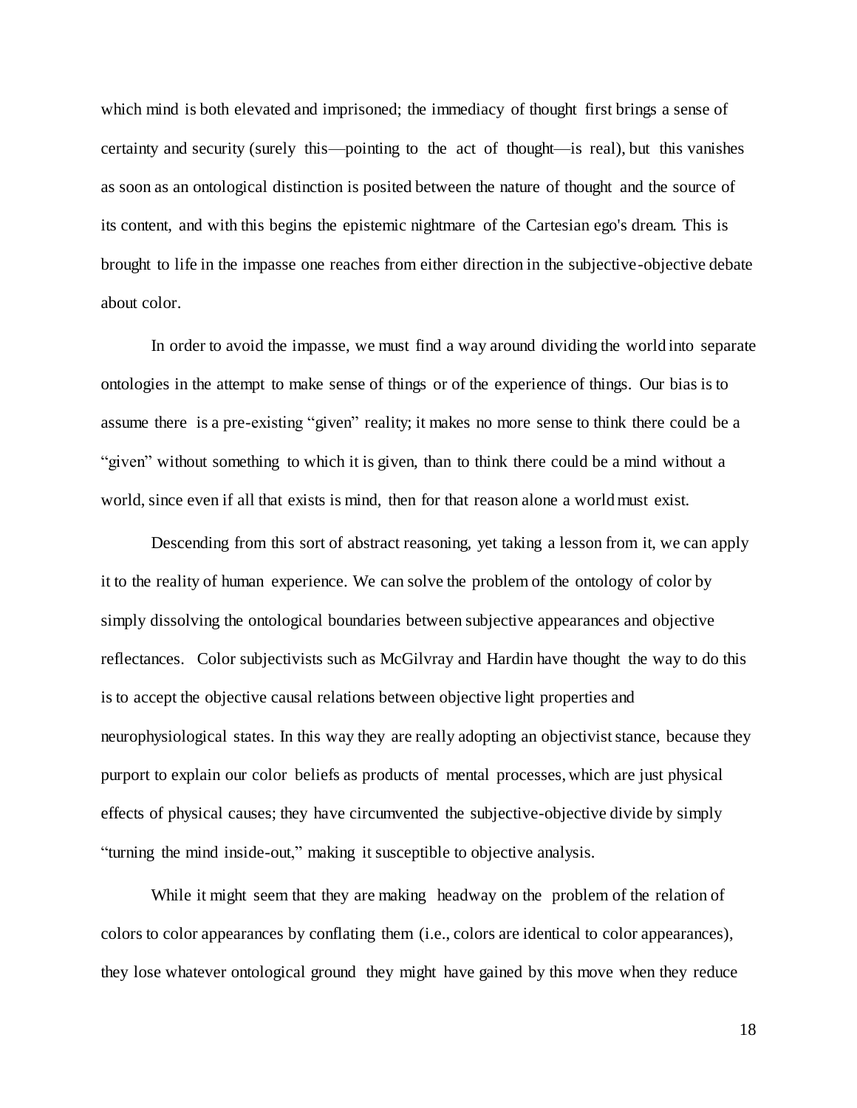which mind is both elevated and imprisoned; the immediacy of thought first brings a sense of certainty and security (surely this—pointing to the act of thought—is real), but this vanishes as soon as an ontological distinction is posited between the nature of thought and the source of its content, and with this begins the epistemic nightmare of the Cartesian ego's dream. This is brought to life in the impasse one reaches from either direction in the subjective-objective debate about color.

In order to avoid the impasse, we must find a way around dividing the world into separate ontologies in the attempt to make sense of things or of the experience of things. Our bias is to assume there is a pre-existing "given" reality; it makes no more sense to think there could be a "given" without something to which it is given, than to think there could be a mind without a world, since even if all that exists is mind, then for that reason alone a world must exist.

Descending from this sort of abstract reasoning, yet taking a lesson from it, we can apply it to the reality of human experience. We can solve the problem of the ontology of color by simply dissolving the ontological boundaries between subjective appearances and objective reflectances. Color subjectivists such as McGilvray and Hardin have thought the way to do this is to accept the objective causal relations between objective light properties and neurophysiological states. In this way they are really adopting an objectivist stance, because they purport to explain our color beliefs as products of mental processes, which are just physical effects of physical causes; they have circumvented the subjective-objective divide by simply "turning the mind inside-out," making it susceptible to objective analysis.

While it might seem that they are making headway on the problem of the relation of colors to color appearances by conflating them (i.e., colors are identical to color appearances), they lose whatever ontological ground they might have gained by this move when they reduce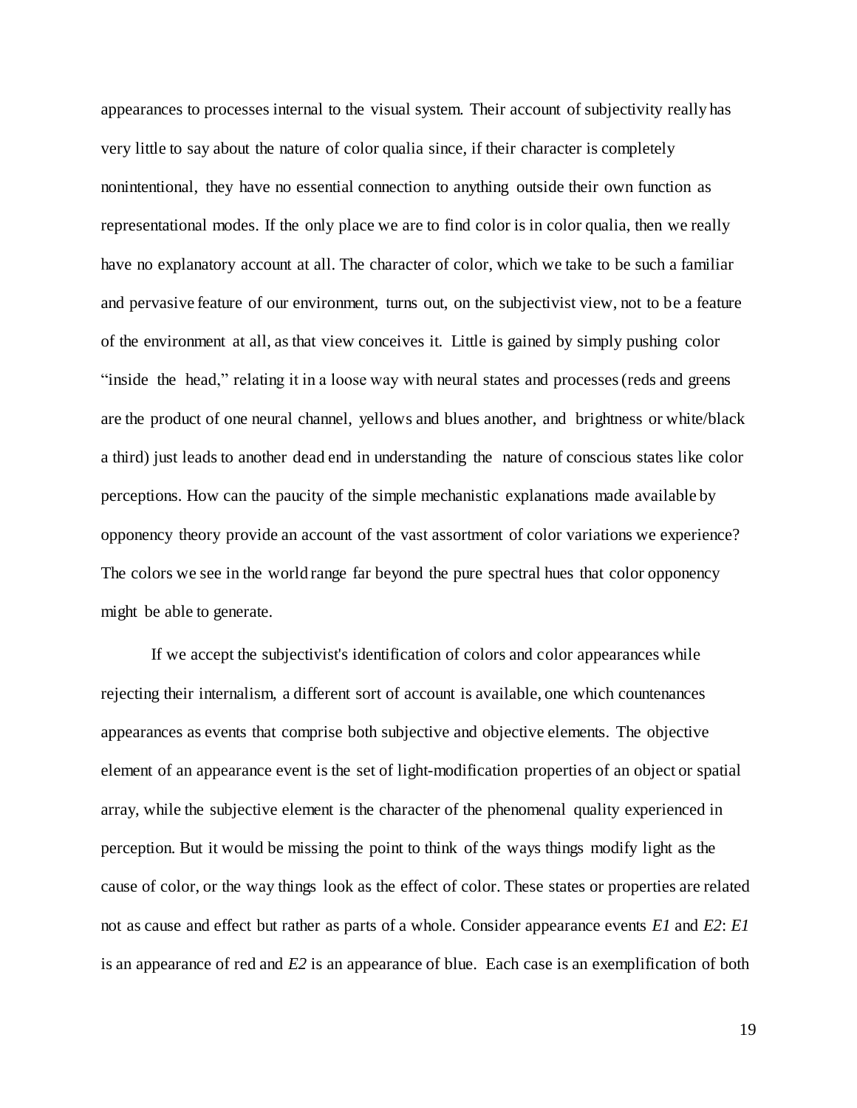appearances to processes internal to the visual system. Their account of subjectivity really has very little to say about the nature of color qualia since, if their character is completely nonintentional, they have no essential connection to anything outside their own function as representational modes. If the only place we are to find color is in color qualia, then we really have no explanatory account at all. The character of color, which we take to be such a familiar and pervasive feature of our environment, turns out, on the subjectivist view, not to be a feature of the environment at all, as that view conceives it. Little is gained by simply pushing color "inside the head," relating it in a loose way with neural states and processes (reds and greens are the product of one neural channel, yellows and blues another, and brightness or white/black a third) just leads to another dead end in understanding the nature of conscious states like color perceptions. How can the paucity of the simple mechanistic explanations made available by opponency theory provide an account of the vast assortment of color variations we experience? The colors we see in the world range far beyond the pure spectral hues that color opponency might be able to generate.

If we accept the subjectivist's identification of colors and color appearances while rejecting their internalism, a different sort of account is available, one which countenances appearances as events that comprise both subjective and objective elements. The objective element of an appearance event is the set of light-modification properties of an object or spatial array, while the subjective element is the character of the phenomenal quality experienced in perception. But it would be missing the point to think of the ways things modify light as the cause of color, or the way things look as the effect of color. These states or properties are related not as cause and effect but rather as parts of a whole. Consider appearance events *E1* and *E2*: *E1*  is an appearance of red and *E2* is an appearance of blue. Each case is an exemplification of both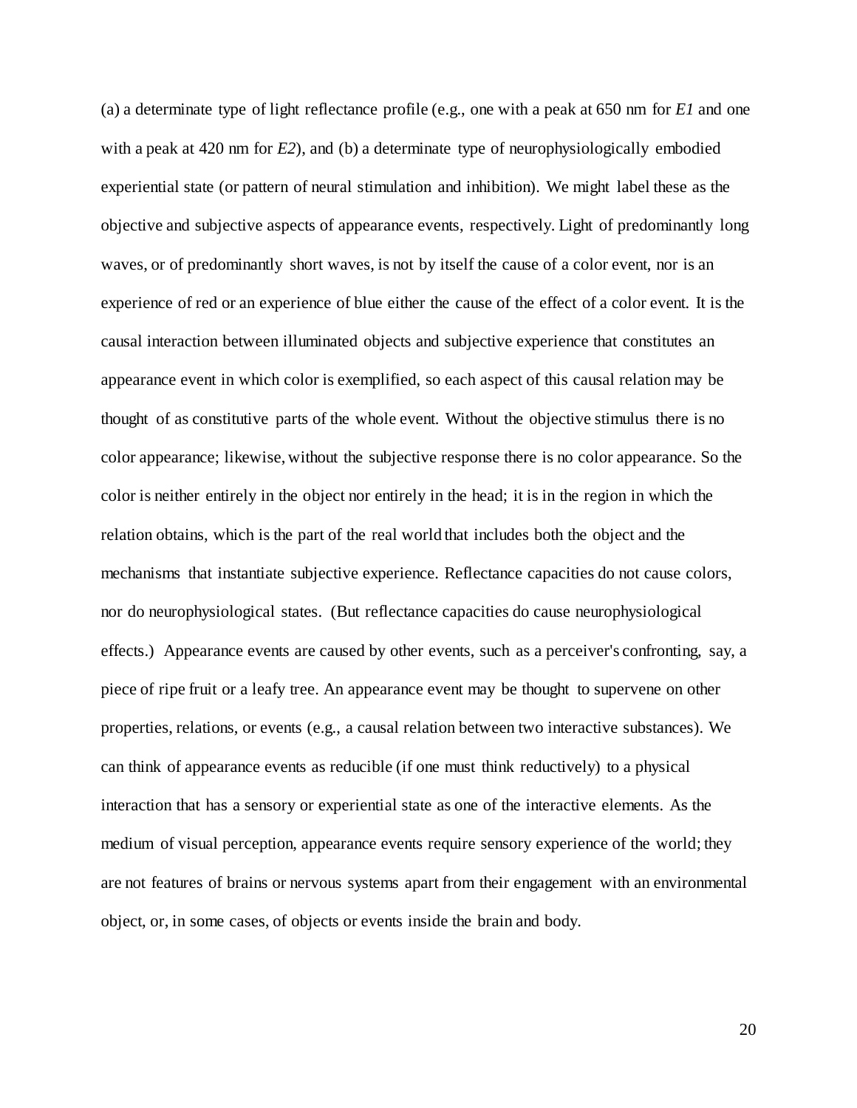(a) a determinate type of light reflectance profile (e.g., one with a peak at 650 nm for *E1* and one with a peak at 420 nm for *E2*), and (b) a determinate type of neurophysiologically embodied experiential state (or pattern of neural stimulation and inhibition). We might label these as the objective and subjective aspects of appearance events, respectively. Light of predominantly long waves, or of predominantly short waves, is not by itself the cause of a color event, nor is an experience of red or an experience of blue either the cause of the effect of a color event. It is the causal interaction between illuminated objects and subjective experience that constitutes an appearance event in which color is exemplified, so each aspect of this causal relation may be thought of as constitutive parts of the whole event. Without the objective stimulus there is no color appearance; likewise, without the subjective response there is no color appearance. So the color is neither entirely in the object nor entirely in the head; it is in the region in which the relation obtains, which is the part of the real world that includes both the object and the mechanisms that instantiate subjective experience. Reflectance capacities do not cause colors, nor do neurophysiological states. (But reflectance capacities do cause neurophysiological effects.) Appearance events are caused by other events, such as a perceiver's confronting, say, a piece of ripe fruit or a leafy tree. An appearance event may be thought to supervene on other properties, relations, or events (e.g., a causal relation between two interactive substances). We can think of appearance events as reducible (if one must think reductively) to a physical interaction that has a sensory or experiential state as one of the interactive elements. As the medium of visual perception, appearance events require sensory experience of the world; they are not features of brains or nervous systems apart from their engagement with an environmental object, or, in some cases, of objects or events inside the brain and body.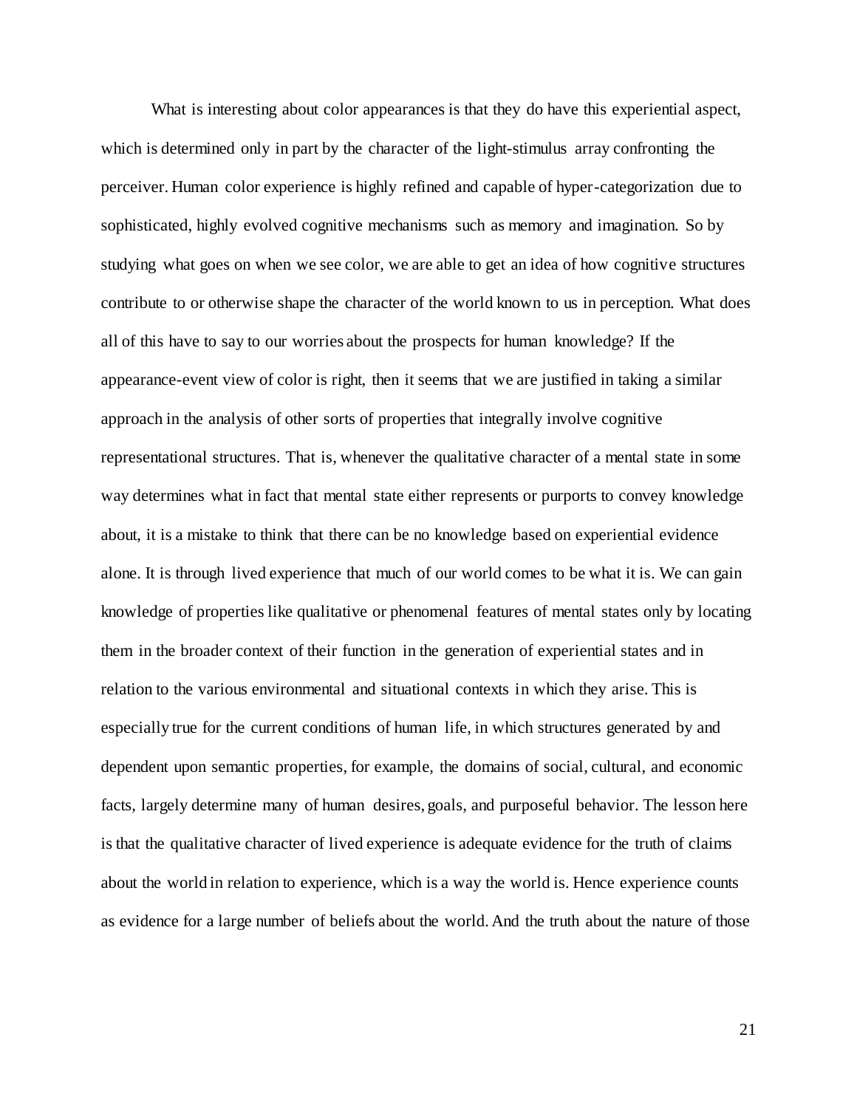What is interesting about color appearances is that they do have this experiential aspect, which is determined only in part by the character of the light-stimulus array confronting the perceiver. Human color experience is highly refined and capable of hyper-categorization due to sophisticated, highly evolved cognitive mechanisms such as memory and imagination. So by studying what goes on when we see color, we are able to get an idea of how cognitive structures contribute to or otherwise shape the character of the world known to us in perception. What does all of this have to say to our worries about the prospects for human knowledge? If the appearance-event view of color is right, then it seems that we are justified in taking a similar approach in the analysis of other sorts of properties that integrally involve cognitive representational structures. That is, whenever the qualitative character of a mental state in some way determines what in fact that mental state either represents or purports to convey knowledge about, it is a mistake to think that there can be no knowledge based on experiential evidence alone. It is through lived experience that much of our world comes to be what it is. We can gain knowledge of properties like qualitative or phenomenal features of mental states only by locating them in the broader context of their function in the generation of experiential states and in relation to the various environmental and situational contexts in which they arise. This is especially true for the current conditions of human life, in which structures generated by and dependent upon semantic properties, for example, the domains of social, cultural, and economic facts, largely determine many of human desires, goals, and purposeful behavior. The lesson here is that the qualitative character of lived experience is adequate evidence for the truth of claims about the world in relation to experience, which is a way the world is. Hence experience counts as evidence for a large number of beliefs about the world. And the truth about the nature of those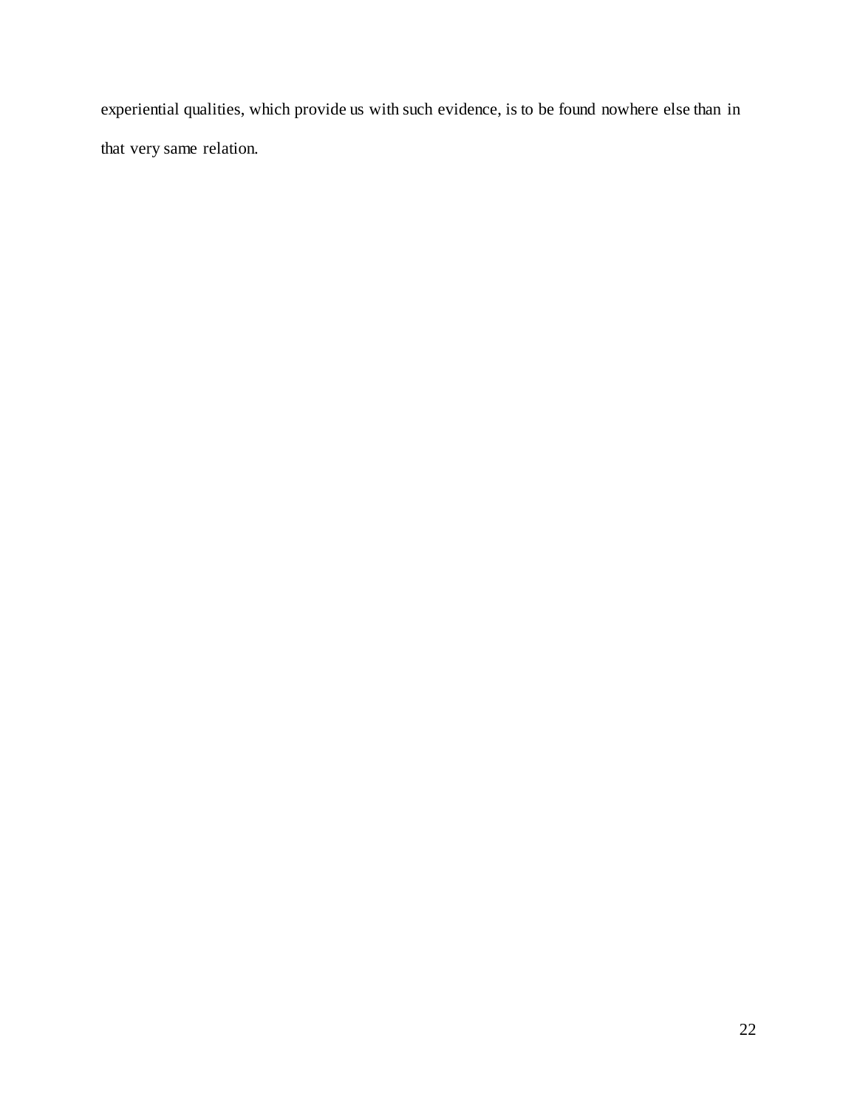experiential qualities, which provide us with such evidence, is to be found nowhere else than in that very same relation.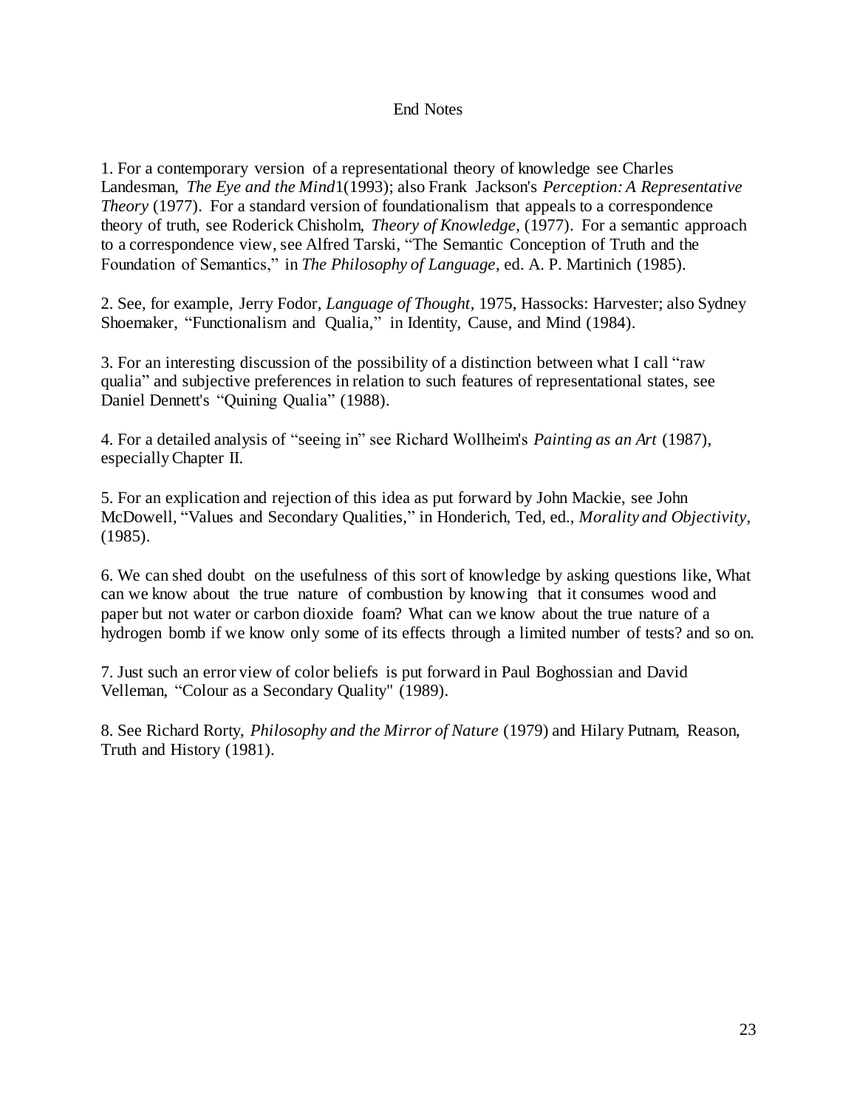## End Notes

1. For a contemporary version of a representational theory of knowledge see Charles Landesman, *The Eye and the Mind*1(1993); also Frank Jackson's *Perception: A Representative Theory* (1977). For a standard version of foundationalism that appeals to a correspondence theory of truth, see Roderick Chisholm, *Theory of Knowledge*, (1977). For a semantic approach to a correspondence view, see Alfred Tarski, "The Semantic Conception of Truth and the Foundation of Semantics," in *The Philosophy of Language*, ed. A. P. Martinich (1985).

2. See, for example, Jerry Fodor, *Language of Thought*, 1975, Hassocks: Harvester; also Sydney Shoemaker, "Functionalism and Qualia," in Identity, Cause, and Mind (1984).

3. For an interesting discussion of the possibility of a distinction between what I call "raw qualia" and subjective preferences in relation to such features of representational states, see Daniel Dennett's "Quining Qualia" (1988).

4. For a detailed analysis of "seeing in" see Richard Wollheim's *Painting as an Art* (1987), especially Chapter II.

5. For an explication and rejection of this idea as put forward by John Mackie, see John McDowell, "Values and Secondary Qualities," in Honderich, Ted, ed., *Morality and Objectivity,* (1985).

6. We can shed doubt on the usefulness of this sort of knowledge by asking questions like, What can we know about the true nature of combustion by knowing that it consumes wood and paper but not water or carbon dioxide foam? What can we know about the true nature of a hydrogen bomb if we know only some of its effects through a limited number of tests? and so on.

7. Just such an error view of color beliefs is put forward in Paul Boghossian and David Velleman, "Colour as a Secondary Quality" (1989).

8. See Richard Rorty, *Philosophy and the Mirror of Nature* (1979) and Hilary Putnam, Reason, Truth and History (1981).